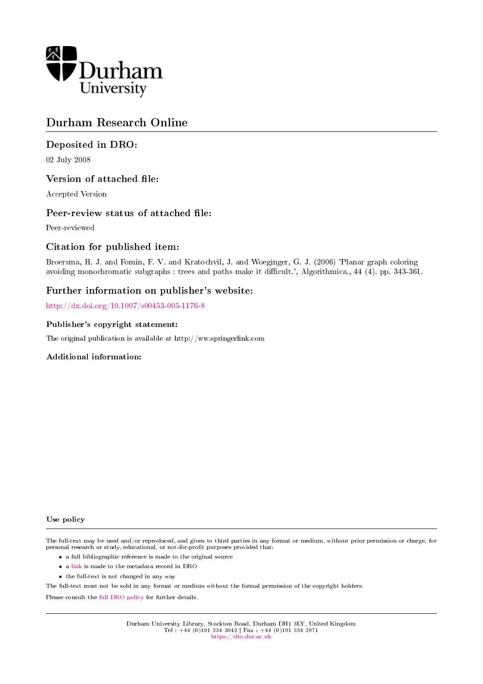

## Durham Research Online

## Deposited in DRO:

02 July 2008

## Version of attached file:

Accepted Version

## Peer-review status of attached file:

Peer-reviewed

## Citation for published item:

Broersma, H. J. and Fomin, F. V. and Kratochvil, J. and Woeginger, G. J. (2006) 'Planar graph coloring avoiding monochromatic subgraphs : trees and paths make it difficult.', Algorithmica., 44 (4). pp. 343-361.

## Further information on publisher's website:

<http://dx.doi.org/10.1007/s00453-005-1176-8>

#### Publisher's copyright statement:

The original publication is available at http://ww.springerlink.com

### Additional information:

#### Use policy

The full-text may be used and/or reproduced, and given to third parties in any format or medium, without prior permission or charge, for personal research or study, educational, or not-for-profit purposes provided that:

- a full bibliographic reference is made to the original source
- a [link](http://dro.dur.ac.uk/604/) is made to the metadata record in DRO
- the full-text is not changed in any way

The full-text must not be sold in any format or medium without the formal permission of the copyright holders.

Please consult the [full DRO policy](https://dro.dur.ac.uk/policies/usepolicy.pdf) for further details.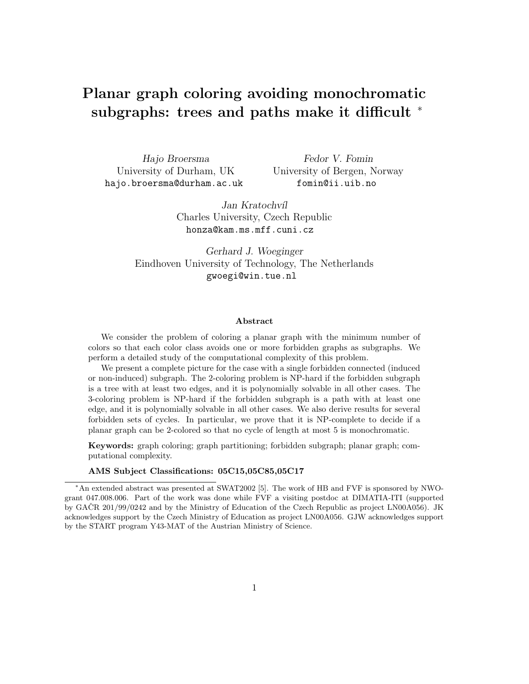# Planar graph coloring avoiding monochromatic subgraphs: trees and paths make it difficult <sup>\*</sup>

Hajo Broersma University of Durham, UK hajo.broersma@durham.ac.uk

Fedor V. Fomin University of Bergen, Norway fomin@ii.uib.no

Jan Kratochvíl Charles University, Czech Republic honza@kam.ms.mff.cuni.cz

Gerhard J. Woeginger Eindhoven University of Technology, The Netherlands gwoegi@win.tue.nl

#### Abstract

We consider the problem of coloring a planar graph with the minimum number of colors so that each color class avoids one or more forbidden graphs as subgraphs. We perform a detailed study of the computational complexity of this problem.

We present a complete picture for the case with a single forbidden connected (induced or non-induced) subgraph. The 2-coloring problem is NP-hard if the forbidden subgraph is a tree with at least two edges, and it is polynomially solvable in all other cases. The 3-coloring problem is NP-hard if the forbidden subgraph is a path with at least one edge, and it is polynomially solvable in all other cases. We also derive results for several forbidden sets of cycles. In particular, we prove that it is NP-complete to decide if a planar graph can be 2-colored so that no cycle of length at most 5 is monochromatic.

Keywords: graph coloring; graph partitioning; forbidden subgraph; planar graph; computational complexity.

#### AMS Subject Classifications: 05C15,05C85,05C17

<sup>∗</sup>An extended abstract was presented at SWAT2002 [5]. The work of HB and FVF is sponsored by NWOgrant 047.008.006. Part of the work was done while FVF a visiting postdoc at DIMATIA-ITI (supported by GAČR 201/99/0242 and by the Ministry of Education of the Czech Republic as project LN00A056). JK acknowledges support by the Czech Ministry of Education as project LN00A056. GJW acknowledges support by the START program Y43-MAT of the Austrian Ministry of Science.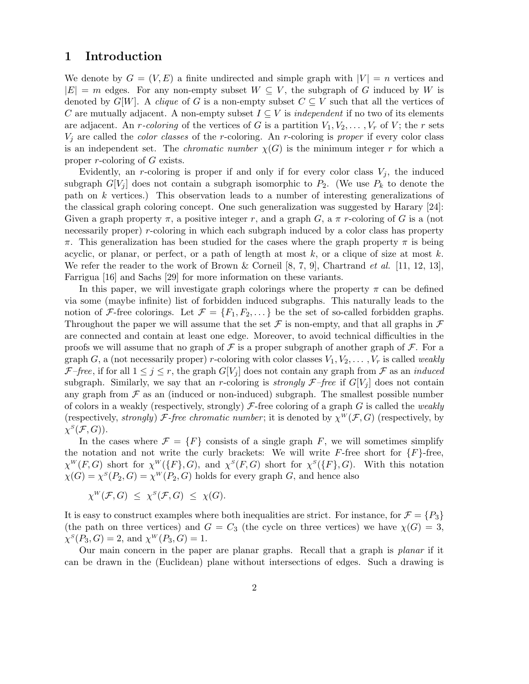## 1 Introduction

We denote by  $G = (V, E)$  a finite undirected and simple graph with  $|V| = n$  vertices and  $|E| = m$  edges. For any non-empty subset  $W \subseteq V$ , the subgraph of G induced by W is denoted by G[W]. A clique of G is a non-empty subset  $C \subseteq V$  such that all the vertices of C are mutually adjacent. A non-empty subset  $I \subseteq V$  is *independent* if no two of its elements are adjacent. An r-coloring of the vertices of G is a partition  $V_1, V_2, \ldots, V_r$  of V; the r sets  $V_j$  are called the *color classes* of the *r*-coloring. An *r*-coloring is *proper* if every color class is an independent set. The *chromatic number*  $\chi(G)$  is the minimum integer r for which a proper r-coloring of G exists.

Evidently, an r-coloring is proper if and only if for every color class  $V_i$ , the induced subgraph  $G[V_j]$  does not contain a subgraph isomorphic to  $P_2$ . (We use  $P_k$  to denote the path on k vertices.) This observation leads to a number of interesting generalizations of the classical graph coloring concept. One such generalization was suggested by Harary [24]: Given a graph property  $\pi$ , a positive integer r, and a graph G, a  $\pi$  r-coloring of G is a (not necessarily proper) r-coloring in which each subgraph induced by a color class has property π. This generalization has been studied for the cases where the graph property π is being acyclic, or planar, or perfect, or a path of length at most  $k$ , or a clique of size at most  $k$ . We refer the reader to the work of Brown & Corneil  $[8, 7, 9]$ , Chartrand *et al.* [11, 12, 13], Farrigua [16] and Sachs [29] for more information on these variants.

In this paper, we will investigate graph colorings where the property  $\pi$  can be defined via some (maybe infinite) list of forbidden induced subgraphs. This naturally leads to the notion of F-free colorings. Let  $\mathcal{F} = \{F_1, F_2, \dots\}$  be the set of so-called forbidden graphs. Throughout the paper we will assume that the set  $\mathcal F$  is non-empty, and that all graphs in  $\mathcal F$ are connected and contain at least one edge. Moreover, to avoid technical difficulties in the proofs we will assume that no graph of  $\mathcal F$  is a proper subgraph of another graph of  $\mathcal F$ . For a graph G, a (not necessarily proper) r-coloring with color classes  $V_1, V_2, \ldots, V_r$  is called weakly F–free, if for all  $1 \leq j \leq r$ , the graph  $G[V_j]$  does not contain any graph from F as an *induced* subgraph. Similarly, we say that an r-coloring is *strongly*  $\mathcal{F}-$ *free* if  $G[V_i]$  does not contain any graph from  $\mathcal F$  as an (induced or non-induced) subgraph. The smallest possible number of colors in a weakly (respectively, strongly)  $\mathcal F$ -free coloring of a graph G is called the weakly (respectively, strongly) F-free chromatic number; it is denoted by  $\chi^W(\mathcal{F}, G)$  (respectively, by  $\chi^{\scriptscriptstyle S}({\cal F},G)).$ 

In the cases where  $\mathcal{F} = \{F\}$  consists of a single graph F, we will sometimes simplify the notation and not write the curly brackets: We will write  $F$ -free short for  $\{F\}$ -free,  $\chi^W(F, G)$  short for  $\chi^W(\{F\}, G)$ , and  $\chi^S(F, G)$  short for  $\chi^S(\{F\}, G)$ . With this notation  $\chi(G) = \chi^S(P_2, G) = \chi^W(P_2, G)$  holds for every graph G, and hence also

$$
\chi^W(\mathcal{F}, G) \leq \chi^S(\mathcal{F}, G) \leq \chi(G).
$$

It is easy to construct examples where both inequalities are strict. For instance, for  $\mathcal{F} = \{P_3\}$ (the path on three vertices) and  $G = C_3$  (the cycle on three vertices) we have  $\chi(G) = 3$ ,  $\chi^S(P_3, G) = 2$ , and  $\chi^W(P_3, G) = 1$ .

Our main concern in the paper are planar graphs. Recall that a graph is planar if it can be drawn in the (Euclidean) plane without intersections of edges. Such a drawing is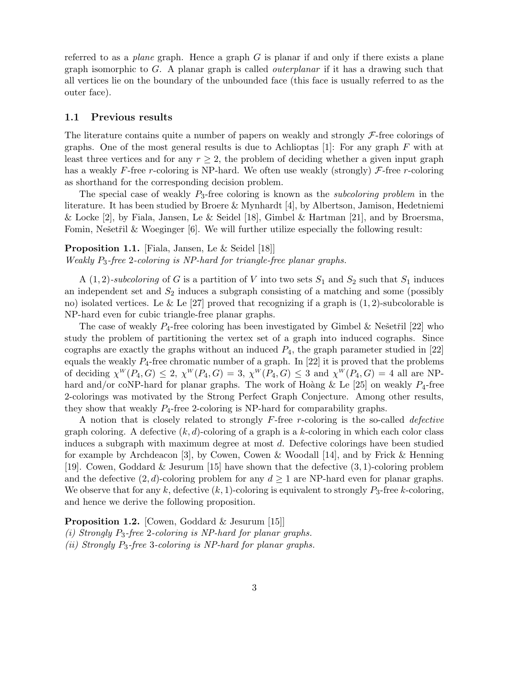referred to as a *plane* graph. Hence a graph  $G$  is planar if and only if there exists a plane graph isomorphic to  $G$ . A planar graph is called *outerplanar* if it has a drawing such that all vertices lie on the boundary of the unbounded face (this face is usually referred to as the outer face).

#### 1.1 Previous results

The literature contains quite a number of papers on weakly and strongly  $\mathcal{F}$ -free colorings of graphs. One of the most general results is due to Achlioptas [1]: For any graph  $F$  with at least three vertices and for any  $r \geq 2$ , the problem of deciding whether a given input graph has a weakly F-free r-coloring is NP-hard. We often use weakly (strongly)  $\mathcal F$ -free r-coloring as shorthand for the corresponding decision problem.

The special case of weakly  $P_3$ -free coloring is known as the *subcoloring problem* in the literature. It has been studied by Broere & Mynhardt [4], by Albertson, Jamison, Hedetniemi & Locke [2], by Fiala, Jansen, Le & Seidel [18], Gimbel & Hartman [21], and by Broersma, Fomin, Nešetřil  $&$  Woeginger [6]. We will further utilize especially the following result:

Proposition 1.1. [Fiala, Jansen, Le & Seidel [18]] Weakly P3-free 2-coloring is NP-hard for triangle-free planar graphs.

A (1, 2)-subcoloring of G is a partition of V into two sets  $S_1$  and  $S_2$  such that  $S_1$  induces an independent set and  $S_2$  induces a subgraph consisting of a matching and some (possibly no) isolated vertices. Le  $\&$  Le [27] proved that recognizing if a graph is  $(1, 2)$ -subcolorable is NP-hard even for cubic triangle-free planar graphs.

The case of weakly  $P_4$ -free coloring has been investigated by Gimbel & Nešetřil [22] who study the problem of partitioning the vertex set of a graph into induced cographs. Since cographs are exactly the graphs without an induced  $P_4$ , the graph parameter studied in [22] equals the weakly  $P_4$ -free chromatic number of a graph. In [22] it is proved that the problems of deciding  $\chi^W(P_4, G) \leq 2$ ,  $\chi^W(P_4, G) = 3$ ,  $\chi^W(P_4, G) \leq 3$  and  $\chi^W(P_4, G) = 4$  all are NPhard and/or coNP-hard for planar graphs. The work of Hoàng & Le  $[25]$  on weakly  $P_4$ -free 2-colorings was motivated by the Strong Perfect Graph Conjecture. Among other results, they show that weakly  $P_4$ -free 2-coloring is NP-hard for comparability graphs.

A notion that is closely related to strongly  $F$ -free r-coloring is the so-called *defective* graph coloring. A defective  $(k, d)$ -coloring of a graph is a k-coloring in which each color class induces a subgraph with maximum degree at most d. Defective colorings have been studied for example by Archdeacon [3], by Cowen, Cowen & Woodall [14], and by Frick & Henning [19]. Cowen, Goddard & Jesurum [15] have shown that the defective (3, 1)-coloring problem and the defective  $(2, d)$ -coloring problem for any  $d \geq 1$  are NP-hard even for planar graphs. We observe that for any k, defective  $(k, 1)$ -coloring is equivalent to strongly  $P_3$ -free k-coloring, and hence we derive the following proposition.

Proposition 1.2. [Cowen, Goddard & Jesurum [15]]

(i) Strongly  $P_3$ -free 2-coloring is NP-hard for planar graphs.

(ii) Strongly  $P_3$ -free 3-coloring is NP-hard for planar graphs.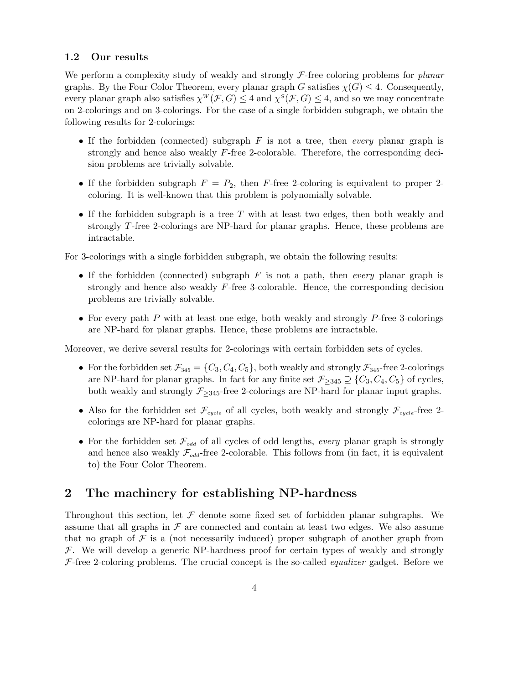#### 1.2 Our results

We perform a complexity study of weakly and strongly  $\mathcal{F}\text{-free}$  coloring problems for planar graphs. By the Four Color Theorem, every planar graph G satisfies  $\chi(G) \leq 4$ . Consequently, every planar graph also satisfies  $\chi^W(\mathcal{F}, G) \leq 4$  and  $\chi^S(\mathcal{F}, G) \leq 4$ , and so we may concentrate on 2-colorings and on 3-colorings. For the case of a single forbidden subgraph, we obtain the following results for 2-colorings:

- If the forbidden (connected) subgraph  $F$  is not a tree, then *every* planar graph is strongly and hence also weakly  $F$ -free 2-colorable. Therefore, the corresponding decision problems are trivially solvable.
- If the forbidden subgraph  $F = P_2$ , then F-free 2-coloring is equivalent to proper 2coloring. It is well-known that this problem is polynomially solvable.
- If the forbidden subgraph is a tree  $T$  with at least two edges, then both weakly and strongly T-free 2-colorings are NP-hard for planar graphs. Hence, these problems are intractable.

For 3-colorings with a single forbidden subgraph, we obtain the following results:

- If the forbidden (connected) subgraph  $F$  is not a path, then *every* planar graph is strongly and hence also weakly F-free 3-colorable. Hence, the corresponding decision problems are trivially solvable.
- For every path P with at least one edge, both weakly and strongly P-free 3-colorings are NP-hard for planar graphs. Hence, these problems are intractable.

Moreover, we derive several results for 2-colorings with certain forbidden sets of cycles.

- For the forbidden set  $\mathcal{F}_{345} = \{C_3, C_4, C_5\}$ , both weakly and strongly  $\mathcal{F}_{345}$ -free 2-colorings are NP-hard for planar graphs. In fact for any finite set  $\mathcal{F}_{\geq 345} \supseteq \{C_3, C_4, C_5\}$  of cycles, both weakly and strongly  $\mathcal{F}_{\geq 345}$ -free 2-colorings are NP-hard for planar input graphs.
- Also for the forbidden set  $\mathcal{F}_{cycle}$  of all cycles, both weakly and strongly  $\mathcal{F}_{cycle}$ -free 2colorings are NP-hard for planar graphs.
- For the forbidden set  $\mathcal{F}_{odd}$  of all cycles of odd lengths, every planar graph is strongly and hence also weakly  $\mathcal{F}_{odd}$ -free 2-colorable. This follows from (in fact, it is equivalent to) the Four Color Theorem.

## 2 The machinery for establishing NP-hardness

Throughout this section, let  $\mathcal F$  denote some fixed set of forbidden planar subgraphs. We assume that all graphs in  $\mathcal F$  are connected and contain at least two edges. We also assume that no graph of  $\mathcal F$  is a (not necessarily induced) proper subgraph of another graph from  $F$ . We will develop a generic NP-hardness proof for certain types of weakly and strongly  $F$ -free 2-coloring problems. The crucial concept is the so-called *equalizer* gadget. Before we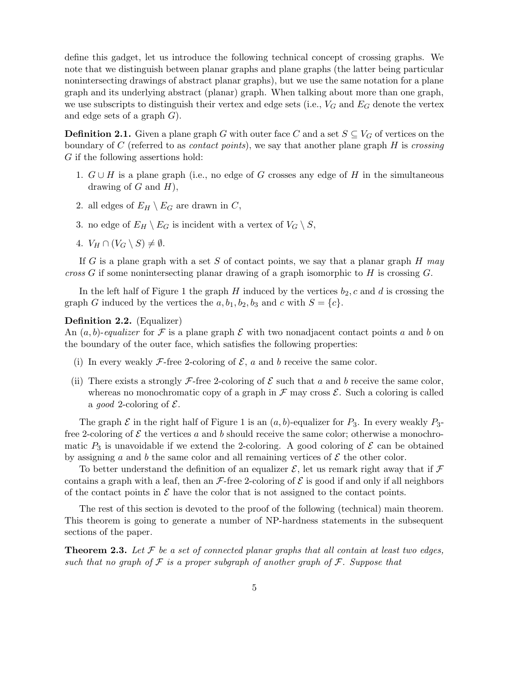define this gadget, let us introduce the following technical concept of crossing graphs. We note that we distinguish between planar graphs and plane graphs (the latter being particular nonintersecting drawings of abstract planar graphs), but we use the same notation for a plane graph and its underlying abstract (planar) graph. When talking about more than one graph, we use subscripts to distinguish their vertex and edge sets (i.e.,  $V_G$  and  $E_G$  denote the vertex and edge sets of a graph  $G$ ).

**Definition 2.1.** Given a plane graph G with outer face C and a set  $S \subseteq V_G$  of vertices on the boundary of C (referred to as *contact points*), we say that another plane graph H is crossing G if the following assertions hold:

- 1.  $G \cup H$  is a plane graph (i.e., no edge of G crosses any edge of H in the simultaneous drawing of  $G$  and  $H$ ),
- 2. all edges of  $E_H \setminus E_G$  are drawn in C,
- 3. no edge of  $E_H \setminus E_G$  is incident with a vertex of  $V_G \setminus S$ ,
- 4.  $V_H \cap (V_G \setminus S) \neq \emptyset$ .

If G is a plane graph with a set S of contact points, we say that a planar graph  $H$  may cross G if some nonintersecting planar drawing of a graph isomorphic to H is crossing G.

In the left half of Figure 1 the graph H induced by the vertices  $b_2$ , c and d is crossing the graph G induced by the vertices the  $a, b_1, b_2, b_3$  and c with  $S = \{c\}.$ 

#### Definition 2.2. (Equalizer)

An  $(a, b)$ -equalizer for F is a plane graph E with two nonadjacent contact points a and b on the boundary of the outer face, which satisfies the following properties:

- (i) In every weakly F-free 2-coloring of  $\mathcal{E}$ , a and b receive the same color.
- (ii) There exists a strongly  $\mathcal{F}\text{-free}$  2-coloring of  $\mathcal E$  such that a and b receive the same color, whereas no monochromatic copy of a graph in  $\mathcal F$  may cross  $\mathcal E$ . Such a coloring is called a *good* 2-coloring of  $\mathcal{E}$ .

The graph  $\mathcal E$  in the right half of Figure 1 is an  $(a, b)$ -equalizer for  $P_3$ . In every weakly  $P_3$ free 2-coloring of  $\mathcal E$  the vertices a and b should receive the same color; otherwise a monochromatic  $P_3$  is unavoidable if we extend the 2-coloring. A good coloring of  $\mathcal E$  can be obtained by assigning a and b the same color and all remaining vertices of  $\mathcal E$  the other color.

To better understand the definition of an equalizer  $\mathcal{E}$ , let us remark right away that if  $\mathcal{F}$ contains a graph with a leaf, then an  $\mathcal{F}\text{-free}$  2-coloring of  $\mathcal E$  is good if and only if all neighbors of the contact points in  $\mathcal E$  have the color that is not assigned to the contact points.

The rest of this section is devoted to the proof of the following (technical) main theorem. This theorem is going to generate a number of NP-hardness statements in the subsequent sections of the paper.

**Theorem 2.3.** Let  $\mathcal F$  be a set of connected planar graphs that all contain at least two edges, such that no graph of  $\mathcal F$  is a proper subgraph of another graph of  $\mathcal F$ . Suppose that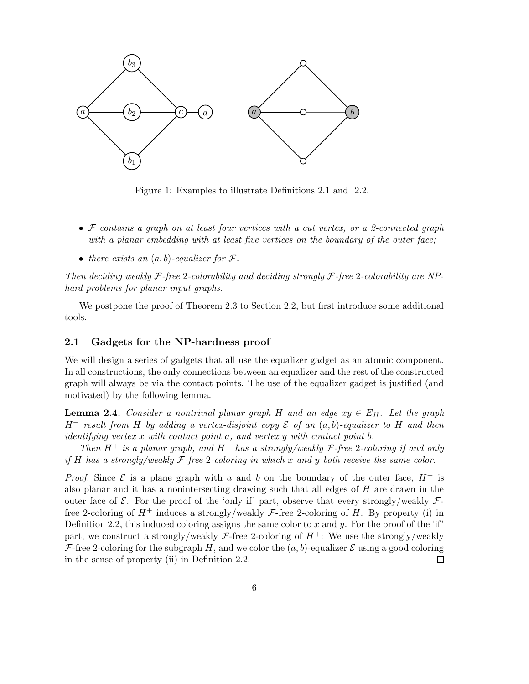

Figure 1: Examples to illustrate Definitions 2.1 and 2.2.

- $\bullet$   $\mathcal F$  contains a graph on at least four vertices with a cut vertex, or a 2-connected graph with a planar embedding with at least five vertices on the boundary of the outer face;
- there exists an  $(a, b)$ -equalizer for  $\mathcal{F}$ .

Then deciding weakly  $\mathcal{F}\text{-}$  free 2-colorability and deciding strongly  $\mathcal{F}\text{-}$  free 2-colorability are NPhard problems for planar input graphs.

We postpone the proof of Theorem 2.3 to Section 2.2, but first introduce some additional tools.

#### 2.1 Gadgets for the NP-hardness proof

We will design a series of gadgets that all use the equalizer gadget as an atomic component. In all constructions, the only connections between an equalizer and the rest of the constructed graph will always be via the contact points. The use of the equalizer gadget is justified (and motivated) by the following lemma.

**Lemma 2.4.** Consider a nontrivial planar graph H and an edge  $xy \in E_H$ . Let the graph  $H^+$  result from H by adding a vertex-disjoint copy  $\mathcal E$  of an  $(a, b)$ -equalizer to H and then identifying vertex x with contact point a, and vertex y with contact point b.

Then  $H^+$  is a planar graph, and  $H^+$  has a strongly/weakly  $\mathcal F$ -free 2-coloring if and only if H has a strongly/weakly  $\mathcal{F}\text{-free}$  2-coloring in which x and y both receive the same color.

*Proof.* Since  $\mathcal E$  is a plane graph with a and b on the boundary of the outer face,  $H^+$  is also planar and it has a nonintersecting drawing such that all edges of  $H$  are drawn in the outer face of  $\mathcal{E}$ . For the proof of the 'only if' part, observe that every strongly/weakly  $\mathcal{F}$ free 2-coloring of  $H^+$  induces a strongly/weakly *F*-free 2-coloring of H. By property (i) in Definition 2.2, this induced coloring assigns the same color to x and y. For the proof of the 'if' part, we construct a strongly/weakly  $\mathcal{F}$ -free 2-coloring of  $H^+$ : We use the strongly/weakly F-free 2-coloring for the subgraph H, and we color the  $(a, b)$ -equalizer E using a good coloring in the sense of property (ii) in Definition 2.2.  $\Box$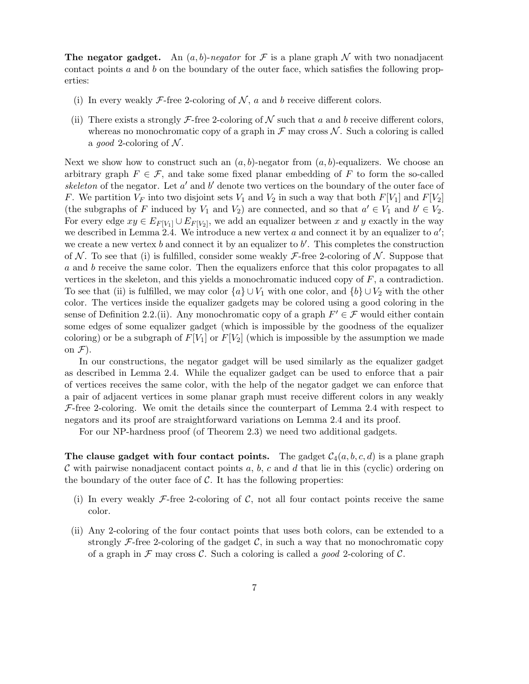**The negator gadget.** An  $(a, b)$ -negator for F is a plane graph N with two nonadjacent contact points a and b on the boundary of the outer face, which satisfies the following properties:

- (i) In every weakly  $\mathcal{F}\text{-free}$  2-coloring of  $\mathcal{N}, a$  and b receive different colors.
- (ii) There exists a strongly  $\mathcal{F}\text{-free}$  2-coloring of  $\mathcal N$  such that a and b receive different colors, whereas no monochromatic copy of a graph in  $\mathcal F$  may cross  $\mathcal N$ . Such a coloring is called a *good* 2-coloring of N.

Next we show how to construct such an  $(a, b)$ -negator from  $(a, b)$ -equalizers. We choose an arbitrary graph  $F \in \mathcal{F}$ , and take some fixed planar embedding of F to form the so-called skeleton of the negator. Let  $a'$  and  $b'$  denote two vertices on the boundary of the outer face of F. We partition  $V_F$  into two disjoint sets  $V_1$  and  $V_2$  in such a way that both  $F[V_1]$  and  $F[V_2]$ (the subgraphs of F induced by  $V_1$  and  $V_2$ ) are connected, and so that  $a' \in V_1$  and  $b' \in V_2$ . For every edge  $xy \in E_{F[V_1]} \cup E_{F[V_2]}$ , we add an equalizer between x and y exactly in the way we described in Lemma 2.4. We introduce a new vertex a and connect it by an equalizer to  $a'$ ; we create a new vertex  $b$  and connect it by an equalizer to  $b'$ . This completes the construction of N. To see that (i) is fulfilled, consider some weakly  $\mathcal{F}$ -free 2-coloring of N. Suppose that a and b receive the same color. Then the equalizers enforce that this color propagates to all vertices in the skeleton, and this yields a monochromatic induced copy of  $F$ , a contradiction. To see that (ii) is fulfilled, we may color  $\{a\} \cup V_1$  with one color, and  $\{b\} \cup V_2$  with the other color. The vertices inside the equalizer gadgets may be colored using a good coloring in the sense of Definition 2.2.(ii). Any monochromatic copy of a graph  $F' \in \mathcal{F}$  would either contain some edges of some equalizer gadget (which is impossible by the goodness of the equalizer coloring) or be a subgraph of  $F[V_1]$  or  $F[V_2]$  (which is impossible by the assumption we made on  $\mathcal{F}$ ).

In our constructions, the negator gadget will be used similarly as the equalizer gadget as described in Lemma 2.4. While the equalizer gadget can be used to enforce that a pair of vertices receives the same color, with the help of the negator gadget we can enforce that a pair of adjacent vertices in some planar graph must receive different colors in any weakly  $F$ -free 2-coloring. We omit the details since the counterpart of Lemma 2.4 with respect to negators and its proof are straightforward variations on Lemma 2.4 and its proof.

For our NP-hardness proof (of Theorem 2.3) we need two additional gadgets.

The clause gadget with four contact points. The gadget  $C_4(a, b, c, d)$  is a plane graph C with pairwise nonadjacent contact points a, b, c and d that lie in this (cyclic) ordering on the boundary of the outer face of  $\mathcal{C}$ . It has the following properties:

- (i) In every weakly  $\mathcal{F}\text{-free}$  2-coloring of C, not all four contact points receive the same color.
- (ii) Any 2-coloring of the four contact points that uses both colors, can be extended to a strongly F-free 2-coloring of the gadget  $\mathcal{C}$ , in such a way that no monochromatic copy of a graph in  $\mathcal F$  may cross  $\mathcal C$ . Such a coloring is called a good 2-coloring of  $\mathcal C$ .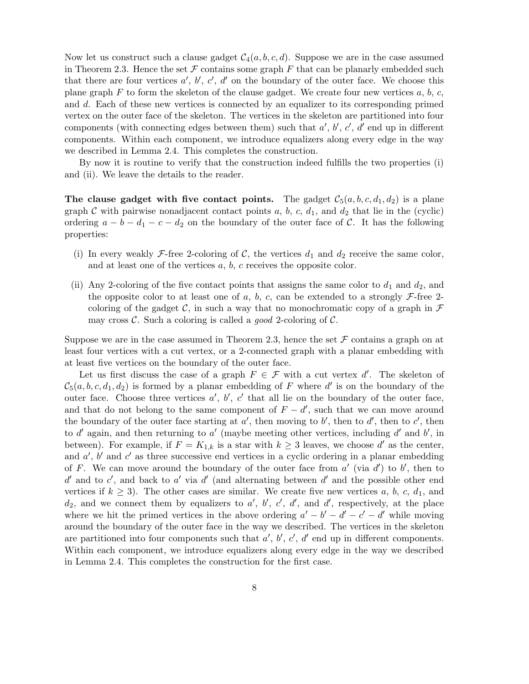Now let us construct such a clause gadget  $C_4(a, b, c, d)$ . Suppose we are in the case assumed in Theorem 2.3. Hence the set  $\mathcal F$  contains some graph  $F$  that can be planarly embedded such that there are four vertices  $a', b', c', d'$  on the boundary of the outer face. We choose this plane graph  $F$  to form the skeleton of the clause gadget. We create four new vertices  $a, b, c$ , and d. Each of these new vertices is connected by an equalizer to its corresponding primed vertex on the outer face of the skeleton. The vertices in the skeleton are partitioned into four components (with connecting edges between them) such that  $a', b', c', d'$  end up in different components. Within each component, we introduce equalizers along every edge in the way we described in Lemma 2.4. This completes the construction.

By now it is routine to verify that the construction indeed fulfills the two properties (i) and (ii). We leave the details to the reader.

The clause gadget with five contact points. The gadget  $C_5(a, b, c, d_1, d_2)$  is a plane graph  $C$  with pairwise nonadjacent contact points  $a, b, c, d_1$ , and  $d_2$  that lie in the (cyclic) ordering  $a - b - d_1 - c - d_2$  on the boundary of the outer face of C. It has the following properties:

- (i) In every weakly F-free 2-coloring of C, the vertices  $d_1$  and  $d_2$  receive the same color, and at least one of the vertices  $a, b, c$  receives the opposite color.
- (ii) Any 2-coloring of the five contact points that assigns the same color to  $d_1$  and  $d_2$ , and the opposite color to at least one of a, b, c, can be extended to a strongly  $\mathcal{F}$ -free 2coloring of the gadget C, in such a way that no monochromatic copy of a graph in  $\mathcal F$ may cross  $\mathcal{C}$ . Such a coloring is called a good 2-coloring of  $\mathcal{C}$ .

Suppose we are in the case assumed in Theorem 2.3, hence the set  $\mathcal F$  contains a graph on at least four vertices with a cut vertex, or a 2-connected graph with a planar embedding with at least five vertices on the boundary of the outer face.

Let us first discuss the case of a graph  $F \in \mathcal{F}$  with a cut vertex d'. The skeleton of  $\mathcal{C}_5(a, b, c, d_1, d_2)$  is formed by a planar embedding of F where d' is on the boundary of the outer face. Choose three vertices  $a'$ ,  $b'$ ,  $c'$  that all lie on the boundary of the outer face, and that do not belong to the same component of  $F - d'$ , such that we can move around the boundary of the outer face starting at  $a'$ , then moving to b', then to d', then to c', then to d'again, and then returning to a' (maybe meeting other vertices, including d'and b', in between). For example, if  $F = K_{1,k}$  is a star with  $k \geq 3$  leaves, we choose d' as the center, and  $a'$ ,  $b'$  and  $c'$  as three successive end vertices in a cyclic ordering in a planar embedding of F. We can move around the boundary of the outer face from  $a'$  (via  $d'$ ) to  $b'$ , then to  $d'$  and to  $c'$ , and back to  $a'$  via  $d'$  (and alternating between  $d'$  and the possible other end vertices if  $k \geq 3$ ). The other cases are similar. We create five new vertices a, b, c, d<sub>1</sub>, and  $d_2$ , and we connect them by equalizers to  $a'$ ,  $b'$ ,  $c'$ ,  $d'$ , and  $d'$ , respectively, at the place where we hit the primed vertices in the above ordering  $a' - b' - d' - c' - d'$  while moving around the boundary of the outer face in the way we described. The vertices in the skeleton are partitioned into four components such that  $a'$ ,  $b'$ ,  $c'$ ,  $d'$  end up in different components. Within each component, we introduce equalizers along every edge in the way we described in Lemma 2.4. This completes the construction for the first case.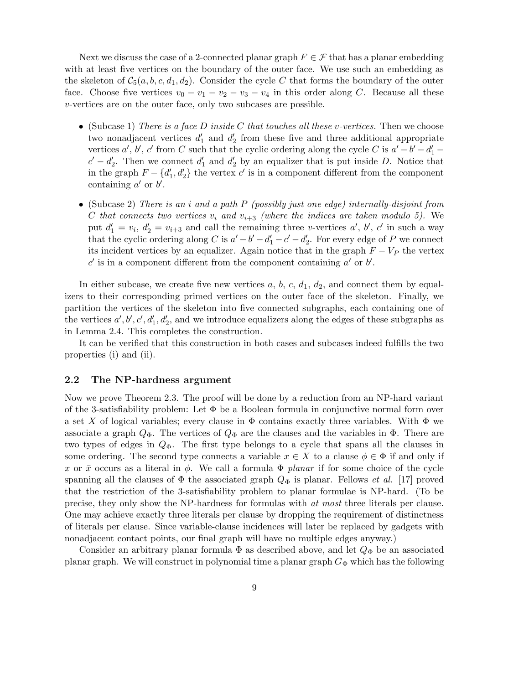Next we discuss the case of a 2-connected planar graph  $F \in \mathcal{F}$  that has a planar embedding with at least five vertices on the boundary of the outer face. We use such an embedding as the skeleton of  $C_5(a, b, c, d_1, d_2)$ . Consider the cycle C that forms the boundary of the outer face. Choose five vertices  $v_0 - v_1 - v_2 - v_3 - v_4$  in this order along C. Because all these v-vertices are on the outer face, only two subcases are possible.

- (Subcase 1) There is a face D inside C that touches all these v-vertices. Then we choose two nonadjacent vertices  $d'_1$  and  $d'_2$  from these five and three additional appropriate vertices  $a', b', c'$  from C such that the cyclic ordering along the cycle C is  $a' - b' - d'_1$  $c' - d'_2$ . Then we connect  $d'_1$  and  $d'_2$  by an equalizer that is put inside D. Notice that in the graph  $F - \{d'_1, d'_2\}$  the vertex  $c'$  is in a component different from the component containing  $a'$  or  $b'$ .
- (Subcase 2) There is an i and a path  $P$  (possibly just one edge) internally-disjoint from C that connects two vertices  $v_i$  and  $v_{i+3}$  (where the indices are taken modulo 5). We put  $d_1' = v_i$ ,  $d_2' = v_{i+3}$  and call the remaining three v-vertices  $a'$ ,  $b'$ ,  $c'$  in such a way that the cyclic ordering along C is  $a'-b'-d'_1-c'-d'_2$ . For every edge of P we connect its incident vertices by an equalizer. Again notice that in the graph  $F - V_P$  the vertex  $c'$  is in a component different from the component containing  $a'$  or  $b'$ .

In either subcase, we create five new vertices  $a, b, c, d_1, d_2$ , and connect them by equalizers to their corresponding primed vertices on the outer face of the skeleton. Finally, we partition the vertices of the skeleton into five connected subgraphs, each containing one of the vertices  $a', b', c', d'_1, d'_2$ , and we introduce equalizers along the edges of these subgraphs as in Lemma 2.4. This completes the construction.

It can be verified that this construction in both cases and subcases indeed fulfills the two properties (i) and (ii).

#### 2.2 The NP-hardness argument

Now we prove Theorem 2.3. The proof will be done by a reduction from an NP-hard variant of the 3-satisfiability problem: Let  $\Phi$  be a Boolean formula in conjunctive normal form over a set X of logical variables; every clause in  $\Phi$  contains exactly three variables. With  $\Phi$  we associate a graph  $Q_{\Phi}$ . The vertices of  $Q_{\Phi}$  are the clauses and the variables in  $\Phi$ . There are two types of edges in  $Q_{\Phi}$ . The first type belongs to a cycle that spans all the clauses in some ordering. The second type connects a variable  $x \in X$  to a clause  $\phi \in \Phi$  if and only if x or  $\bar{x}$  occurs as a literal in  $\phi$ . We call a formula  $\Phi$  planar if for some choice of the cycle spanning all the clauses of  $\Phi$  the associated graph  $Q_{\Phi}$  is planar. Fellows *et al.* [17] proved that the restriction of the 3-satisfiability problem to planar formulae is NP-hard. (To be precise, they only show the NP-hardness for formulas with at most three literals per clause. One may achieve exactly three literals per clause by dropping the requirement of distinctness of literals per clause. Since variable-clause incidences will later be replaced by gadgets with nonadjacent contact points, our final graph will have no multiple edges anyway.)

Consider an arbitrary planar formula  $\Phi$  as described above, and let  $Q_{\Phi}$  be an associated planar graph. We will construct in polynomial time a planar graph  $G_{\Phi}$  which has the following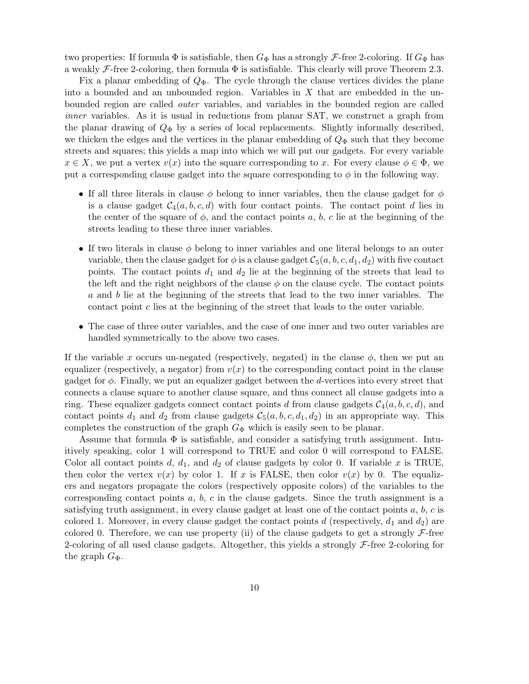two properties: If formula  $\Phi$  is satisfiable, then  $G_{\Phi}$  has a strongly  $\mathcal{F}$ -free 2-coloring. If  $G_{\Phi}$  has a weakly  $\mathcal F$ -free 2-coloring, then formula  $\Phi$  is satisfiable. This clearly will prove Theorem 2.3.

Fix a planar embedding of  $Q_{\Phi}$ . The cycle through the clause vertices divides the plane into a bounded and an unbounded region. Variables in  $X$  that are embedded in the unbounded region are called outer variables, and variables in the bounded region are called inner variables. As it is usual in reductions from planar SAT, we construct a graph from the planar drawing of  $Q_{\Phi}$  by a series of local replacements. Slightly informally described, we thicken the edges and the vertices in the planar embedding of  $Q_{\Phi}$  such that they become streets and squares; this yields a map into which we will put our gadgets. For every variable  $x \in X$ , we put a vertex  $v(x)$  into the square corresponding to x. For every clause  $\phi \in \Phi$ , we put a corresponding clause gadget into the square corresponding to  $\phi$  in the following way.

- If all three literals in clause  $\phi$  belong to inner variables, then the clause gadget for  $\phi$ is a clause gadget  $C_4(a, b, c, d)$  with four contact points. The contact point d lies in the center of the square of  $\phi$ , and the contact points a, b, c lie at the beginning of the streets leading to these three inner variables.
- If two literals in clause  $\phi$  belong to inner variables and one literal belongs to an outer variable, then the clause gadget for  $\phi$  is a clause gadget  $C_5(a, b, c, d_1, d_2)$  with five contact points. The contact points  $d_1$  and  $d_2$  lie at the beginning of the streets that lead to the left and the right neighbors of the clause  $\phi$  on the clause cycle. The contact points a and b lie at the beginning of the streets that lead to the two inner variables. The contact point  $c$  lies at the beginning of the street that leads to the outer variable.
- The case of three outer variables, and the case of one inner and two outer variables are handled symmetrically to the above two cases.

If the variable x occurs un-negated (respectively, negated) in the clause  $\phi$ , then we put an equalizer (respectively, a negator) from  $v(x)$  to the corresponding contact point in the clause gadget for  $\phi$ . Finally, we put an equalizer gadget between the d-vertices into every street that connects a clause square to another clause square, and thus connect all clause gadgets into a ring. These equalizer gadgets connect contact points d from clause gadgets  $C_4(a, b, c, d)$ , and contact points  $d_1$  and  $d_2$  from clause gadgets  $C_5(a, b, c, d_1, d_2)$  in an appropriate way. This completes the construction of the graph  $G_{\Phi}$  which is easily seen to be planar.

Assume that formula  $\Phi$  is satisfiable, and consider a satisfying truth assignment. Intuitively speaking, color 1 will correspond to TRUE and color 0 will correspond to FALSE. Color all contact points d,  $d_1$ , and  $d_2$  of clause gadgets by color 0. If variable x is TRUE, then color the vertex  $v(x)$  by color 1. If x is FALSE, then color  $v(x)$  by 0. The equalizers and negators propagate the colors (respectively opposite colors) of the variables to the corresponding contact points  $a, b, c$  in the clause gadgets. Since the truth assignment is a satisfying truth assignment, in every clause gadget at least one of the contact points  $a, b, c$  is colored 1. Moreover, in every clause gadget the contact points d (respectively,  $d_1$  and  $d_2$ ) are colored 0. Therefore, we can use property (ii) of the clause gadgets to get a strongly  $\mathcal{F}\text{-free}$ 2-coloring of all used clause gadgets. Altogether, this yields a strongly  $\mathcal{F}\text{-free}$  2-coloring for the graph  $G_{\Phi}$ .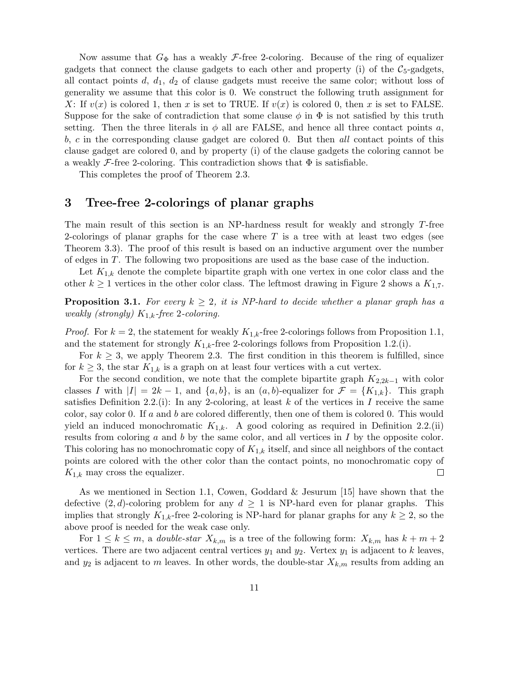Now assume that  $G_{\Phi}$  has a weakly *F*-free 2-coloring. Because of the ring of equalizer gadgets that connect the clause gadgets to each other and property (i) of the  $C_5$ -gadgets, all contact points  $d, d_1, d_2$  of clause gadgets must receive the same color; without loss of generality we assume that this color is 0. We construct the following truth assignment for X: If  $v(x)$  is colored 1, then x is set to TRUE. If  $v(x)$  is colored 0, then x is set to FALSE. Suppose for the sake of contradiction that some clause  $\phi$  in  $\Phi$  is not satisfied by this truth setting. Then the three literals in  $\phi$  all are FALSE, and hence all three contact points a, b, c in the corresponding clause gadget are colored 0. But then all contact points of this clause gadget are colored 0, and by property (i) of the clause gadgets the coloring cannot be a weakly  $\mathcal F$ -free 2-coloring. This contradiction shows that  $\Phi$  is satisfiable.

This completes the proof of Theorem 2.3.

## 3 Tree-free 2-colorings of planar graphs

The main result of this section is an NP-hardness result for weakly and strongly T-free 2-colorings of planar graphs for the case where  $T$  is a tree with at least two edges (see Theorem 3.3). The proof of this result is based on an inductive argument over the number of edges in T. The following two propositions are used as the base case of the induction.

Let  $K_{1,k}$  denote the complete bipartite graph with one vertex in one color class and the other  $k \geq 1$  vertices in the other color class. The leftmost drawing in Figure 2 shows a  $K_{1,7}$ .

**Proposition 3.1.** For every  $k \geq 2$ , it is NP-hard to decide whether a planar graph has a weakly (strongly)  $K_{1,k}$ -free 2-coloring.

*Proof.* For  $k = 2$ , the statement for weakly  $K_{1,k}$ -free 2-colorings follows from Proposition 1.1, and the statement for strongly  $K_{1,k}$ -free 2-colorings follows from Proposition 1.2.(i).

For  $k \geq 3$ , we apply Theorem 2.3. The first condition in this theorem is fulfilled, since for  $k \geq 3$ , the star  $K_{1,k}$  is a graph on at least four vertices with a cut vertex.

For the second condition, we note that the complete bipartite graph  $K_{2,2k-1}$  with color classes I with  $|I| = 2k - 1$ , and  $\{a, b\}$ , is an  $(a, b)$ -equalizer for  $\mathcal{F} = \{K_{1,k}\}\$ . This graph satisfies Definition 2.2.(i): In any 2-coloring, at least k of the vertices in I receive the same color, say color 0. If a and b are colored differently, then one of them is colored 0. This would yield an induced monochromatic  $K_{1,k}$ . A good coloring as required in Definition 2.2.(ii) results from coloring  $a$  and  $b$  by the same color, and all vertices in  $I$  by the opposite color. This coloring has no monochromatic copy of  $K_{1,k}$  itself, and since all neighbors of the contact points are colored with the other color than the contact points, no monochromatic copy of  $K_{1,k}$  may cross the equalizer.  $\Box$ 

As we mentioned in Section 1.1, Cowen, Goddard & Jesurum [15] have shown that the defective  $(2, d)$ -coloring problem for any  $d \geq 1$  is NP-hard even for planar graphs. This implies that strongly  $K_{1,k}$ -free 2-coloring is NP-hard for planar graphs for any  $k \geq 2$ , so the above proof is needed for the weak case only.

For  $1 \leq k \leq m$ , a *double-star*  $X_{k,m}$  is a tree of the following form:  $X_{k,m}$  has  $k+m+2$ vertices. There are two adjacent central vertices  $y_1$  and  $y_2$ . Vertex  $y_1$  is adjacent to k leaves, and  $y_2$  is adjacent to m leaves. In other words, the double-star  $X_{k,m}$  results from adding an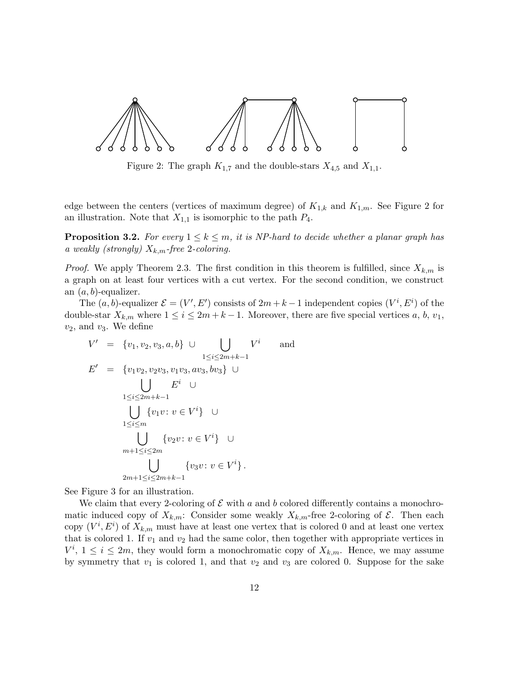

Figure 2: The graph  $K_{1,7}$  and the double-stars  $X_{4,5}$  and  $X_{1,1}$ .

edge between the centers (vertices of maximum degree) of  $K_{1,k}$  and  $K_{1,m}$ . See Figure 2 for an illustration. Note that  $X_{1,1}$  is isomorphic to the path  $P_4$ .

**Proposition 3.2.** For every  $1 \leq k \leq m$ , it is NP-hard to decide whether a planar graph has a weakly (strongly)  $X_{k,m}$ -free 2-coloring.

*Proof.* We apply Theorem 2.3. The first condition in this theorem is fulfilled, since  $X_{k,m}$  is a graph on at least four vertices with a cut vertex. For the second condition, we construct an  $(a, b)$ -equalizer.

The  $(a, b)$ -equalizer  $\mathcal{E} = (V', E')$  consists of  $2m + k - 1$  independent copies  $(V^i, E^i)$  of the double-star  $X_{k,m}$  where  $1 \leq i \leq 2m+k-1$ . Moreover, there are five special vertices a, b,  $v_1$ ,  $v_2$ , and  $v_3$ . We define

$$
V' = \{v_1, v_2, v_3, a, b\} \cup \bigcup_{1 \le i \le 2m+k-1} V^i \quad \text{and}
$$
  
\n
$$
E' = \{v_1v_2, v_2v_3, v_1v_3, av_3, bv_3\} \cup
$$
  
\n
$$
\bigcup_{1 \le i \le 2m+k-1} E^i \cup
$$
  
\n
$$
\bigcup_{1 \le i \le m} \{v_1v : v \in V^i\} \cup
$$
  
\n
$$
\bigcup_{m+1 \le i \le 2m} \{v_2v : v \in V^i\} \cup
$$
  
\n
$$
\bigcup_{2m+1 \le i \le 2m+k-1} \{v_3v : v \in V^i\}.
$$

See Figure 3 for an illustration.

We claim that every 2-coloring of  $\mathcal E$  with a and b colored differently contains a monochromatic induced copy of  $X_{k,m}$ : Consider some weakly  $X_{k,m}$ -free 2-coloring of  $\mathcal{E}$ . Then each copy  $(V^i, E^i)$  of  $X_{k,m}$  must have at least one vertex that is colored 0 and at least one vertex that is colored 1. If  $v_1$  and  $v_2$  had the same color, then together with appropriate vertices in  $V^i$ ,  $1 \leq i \leq 2m$ , they would form a monochromatic copy of  $X_{k,m}$ . Hence, we may assume by symmetry that  $v_1$  is colored 1, and that  $v_2$  and  $v_3$  are colored 0. Suppose for the sake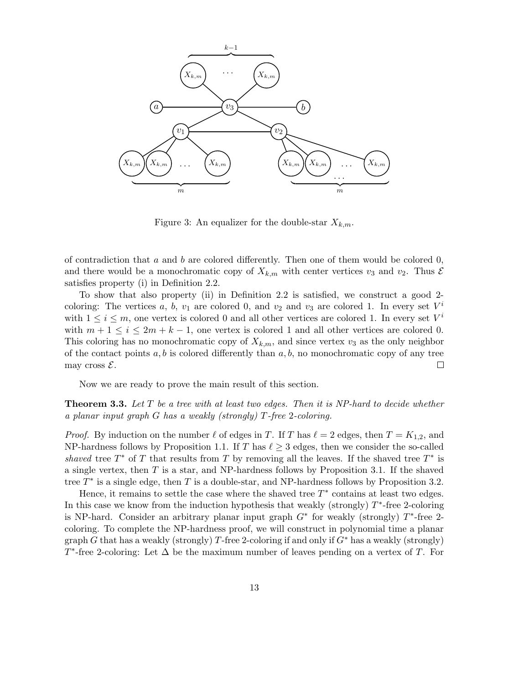

Figure 3: An equalizer for the double-star  $X_{k,m}$ .

of contradiction that  $a$  and  $b$  are colored differently. Then one of them would be colored 0, and there would be a monochromatic copy of  $X_{k,m}$  with center vertices  $v_3$  and  $v_2$ . Thus  $\mathcal E$ satisfies property (i) in Definition 2.2.

To show that also property (ii) in Definition 2.2 is satisfied, we construct a good 2 coloring: The vertices a, b,  $v_1$  are colored 0, and  $v_2$  and  $v_3$  are colored 1. In every set  $V^i$ with  $1 \leq i \leq m$ , one vertex is colored 0 and all other vertices are colored 1. In every set  $V^i$ with  $m+1 \leq i \leq 2m+k-1$ , one vertex is colored 1 and all other vertices are colored 0. This coloring has no monochromatic copy of  $X_{k,m}$ , and since vertex  $v_3$  as the only neighbor of the contact points  $a, b$  is colored differently than  $a, b$ , no monochromatic copy of any tree may cross  $\mathcal{E}$ . □

Now we are ready to prove the main result of this section.

**Theorem 3.3.** Let  $T$  be a tree with at least two edges. Then it is NP-hard to decide whether a planar input graph G has a weakly (strongly) T-free 2-coloring.

*Proof.* By induction on the number  $\ell$  of edges in T. If T has  $\ell = 2$  edges, then  $T = K_{1,2}$ , and NP-hardness follows by Proposition 1.1. If T has  $\ell \geq 3$  edges, then we consider the so-called shaved tree  $T^*$  of T that results from T by removing all the leaves. If the shaved tree  $T^*$  is a single vertex, then  $T$  is a star, and NP-hardness follows by Proposition 3.1. If the shaved tree  $T^*$  is a single edge, then  $T$  is a double-star, and NP-hardness follows by Proposition 3.2.

Hence, it remains to settle the case where the shaved tree  $T^*$  contains at least two edges. In this case we know from the induction hypothesis that weakly (strongly)  $T^*$ -free 2-coloring is NP-hard. Consider an arbitrary planar input graph  $G^*$  for weakly (strongly)  $T^*$ -free 2coloring. To complete the NP-hardness proof, we will construct in polynomial time a planar graph G that has a weakly (strongly) T-free 2-coloring if and only if  $G^*$  has a weakly (strongly)  $T^*$ -free 2-coloring: Let  $\Delta$  be the maximum number of leaves pending on a vertex of T. For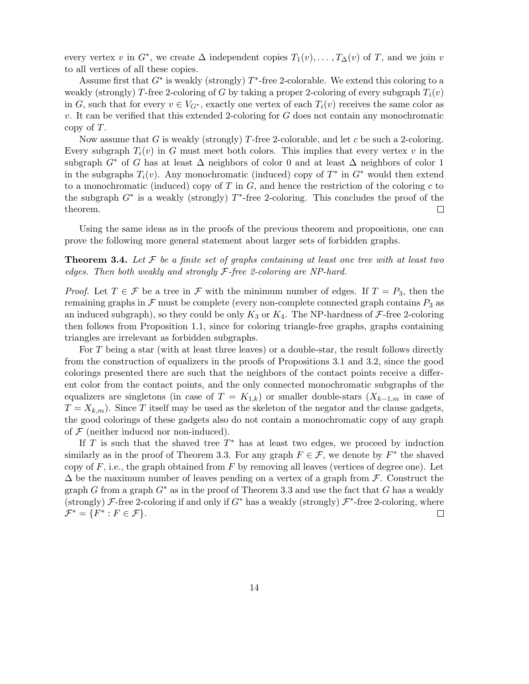every vertex v in  $G^*$ , we create  $\Delta$  independent copies  $T_1(v), \ldots, T_{\Delta}(v)$  of T, and we join v to all vertices of all these copies.

Assume first that  $G^*$  is weakly (strongly)  $T^*$ -free 2-colorable. We extend this coloring to a weakly (strongly) T-free 2-coloring of G by taking a proper 2-coloring of every subgraph  $T_i(v)$ in G, such that for every  $v \in V_{G^*}$ , exactly one vertex of each  $T_i(v)$  receives the same color as v. It can be verified that this extended 2-coloring for  $G$  does not contain any monochromatic copy of T.

Now assume that G is weakly (strongly) T-free 2-colorable, and let c be such a 2-coloring. Every subgraph  $T_i(v)$  in G must meet both colors. This implies that every vertex v in the subgraph  $G^*$  of G has at least  $\Delta$  neighbors of color 0 and at least  $\Delta$  neighbors of color 1 in the subgraphs  $T_i(v)$ . Any monochromatic (induced) copy of  $T^*$  in  $G^*$  would then extend to a monochromatic (induced) copy of T in  $G$ , and hence the restriction of the coloring c to the subgraph  $G^*$  is a weakly (strongly)  $T^*$ -free 2-coloring. This concludes the proof of the theorem. 口

Using the same ideas as in the proofs of the previous theorem and propositions, one can prove the following more general statement about larger sets of forbidden graphs.

**Theorem 3.4.** Let F be a finite set of graphs containing at least one tree with at least two edges. Then both weakly and strongly  $F$ -free 2-coloring are NP-hard.

*Proof.* Let  $T \in \mathcal{F}$  be a tree in  $\mathcal F$  with the minimum number of edges. If  $T = P_3$ , then the remaining graphs in  $\mathcal F$  must be complete (every non-complete connected graph contains  $P_3$  as an induced subgraph), so they could be only  $K_3$  or  $K_4$ . The NP-hardness of  $\mathcal F$ -free 2-coloring then follows from Proposition 1.1, since for coloring triangle-free graphs, graphs containing triangles are irrelevant as forbidden subgraphs.

For  $T$  being a star (with at least three leaves) or a double-star, the result follows directly from the construction of equalizers in the proofs of Propositions 3.1 and 3.2, since the good colorings presented there are such that the neighbors of the contact points receive a different color from the contact points, and the only connected monochromatic subgraphs of the equalizers are singletons (in case of  $T = K_{1,k}$ ) or smaller double-stars  $(X_{k-1,m})$  in case of  $T = X_{k,m}$ ). Since T itself may be used as the skeleton of the negator and the clause gadgets, the good colorings of these gadgets also do not contain a monochromatic copy of any graph of  $F$  (neither induced nor non-induced).

If T is such that the shaved tree  $T^*$  has at least two edges, we proceed by induction similarly as in the proof of Theorem 3.3. For any graph  $F \in \mathcal{F}$ , we denote by  $F^*$  the shaved copy of  $F$ , i.e., the graph obtained from  $F$  by removing all leaves (vertices of degree one). Let  $\Delta$  be the maximum number of leaves pending on a vertex of a graph from F. Construct the graph G from a graph  $G^*$  as in the proof of Theorem 3.3 and use the fact that G has a weakly (strongly)  $\mathcal{F}$ -free 2-coloring if and only if  $G^*$  has a weakly (strongly)  $\mathcal{F}^*$ -free 2-coloring, where  $\mathcal{F}^* = \{ F^* : F \in \mathcal{F} \}.$  $\Box$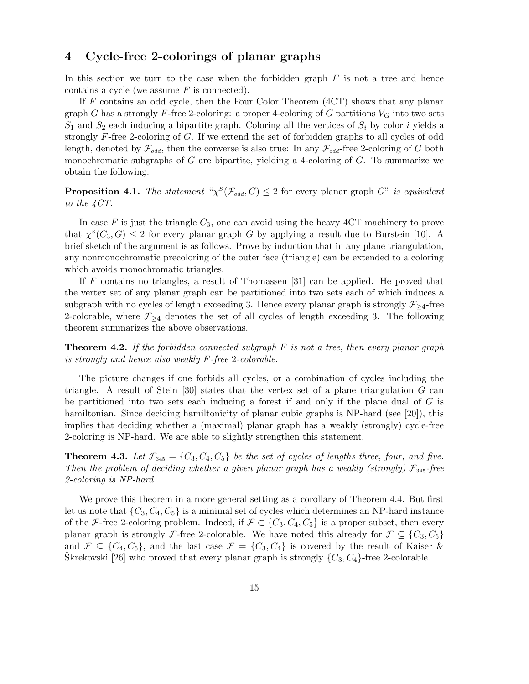## 4 Cycle-free 2-colorings of planar graphs

In this section we turn to the case when the forbidden graph  $F$  is not a tree and hence contains a cycle (we assume  $F$  is connected).

If F contains an odd cycle, then the Four Color Theorem (4CT) shows that any planar graph G has a strongly F-free 2-coloring: a proper 4-coloring of G partitions  $V_G$  into two sets  $S_1$  and  $S_2$  each inducing a bipartite graph. Coloring all the vertices of  $S_i$  by color i yields a strongly F-free 2-coloring of G. If we extend the set of forbidden graphs to all cycles of odd length, denoted by  $\mathcal{F}_{odd}$ , then the converse is also true: In any  $\mathcal{F}_{odd}$ -free 2-coloring of G both monochromatic subgraphs of  $G$  are bipartite, yielding a 4-coloring of  $G$ . To summarize we obtain the following.

**Proposition 4.1.** The statement  $\mathcal{L}^S(\mathcal{F}_{odd}, G) \leq 2$  for every planar graph G" is equivalent to the 4CT.

In case  $F$  is just the triangle  $C_3$ , one can avoid using the heavy  $4CT$  machinery to prove that  $\chi^S(C_3, G) \leq 2$  for every planar graph G by applying a result due to Burstein [10]. A brief sketch of the argument is as follows. Prove by induction that in any plane triangulation, any nonmonochromatic precoloring of the outer face (triangle) can be extended to a coloring which avoids monochromatic triangles.

If F contains no triangles, a result of Thomassen [31] can be applied. He proved that the vertex set of any planar graph can be partitioned into two sets each of which induces a subgraph with no cycles of length exceeding 3. Hence every planar graph is strongly  $\mathcal{F}_{\geq 4}$ -free 2-colorable, where  $\mathcal{F}_{\geq 4}$  denotes the set of all cycles of length exceeding 3. The following theorem summarizes the above observations.

**Theorem 4.2.** If the forbidden connected subgraph  $F$  is not a tree, then every planar graph is strongly and hence also weakly F-free 2-colorable.

The picture changes if one forbids all cycles, or a combination of cycles including the triangle. A result of Stein  $[30]$  states that the vertex set of a plane triangulation G can be partitioned into two sets each inducing a forest if and only if the plane dual of  $G$  is hamiltonian. Since deciding hamiltonicity of planar cubic graphs is NP-hard (see [20]), this implies that deciding whether a (maximal) planar graph has a weakly (strongly) cycle-free 2-coloring is NP-hard. We are able to slightly strengthen this statement.

**Theorem 4.3.** Let  $\mathcal{F}_{345} = \{C_3, C_4, C_5\}$  be the set of cycles of lengths three, four, and five. Then the problem of deciding whether a given planar graph has a weakly (strongly)  $\mathcal{F}_{345}$ -free 2-coloring is NP-hard.

We prove this theorem in a more general setting as a corollary of Theorem 4.4. But first let us note that  $\{C_3, C_4, C_5\}$  is a minimal set of cycles which determines an NP-hard instance of the F-free 2-coloring problem. Indeed, if  $\mathcal{F} \subset \{C_3, C_4, C_5\}$  is a proper subset, then every planar graph is strongly F-free 2-colorable. We have noted this already for  $\mathcal{F} \subseteq \{C_3, C_5\}$ and  $\mathcal{F} \subseteq \{C_4, C_5\}$ , and the last case  $\mathcal{F} = \{C_3, C_4\}$  is covered by the result of Kaiser & Skrekovski [26] who proved that every planar graph is strongly  $\{C_3, C_4\}$ -free 2-colorable.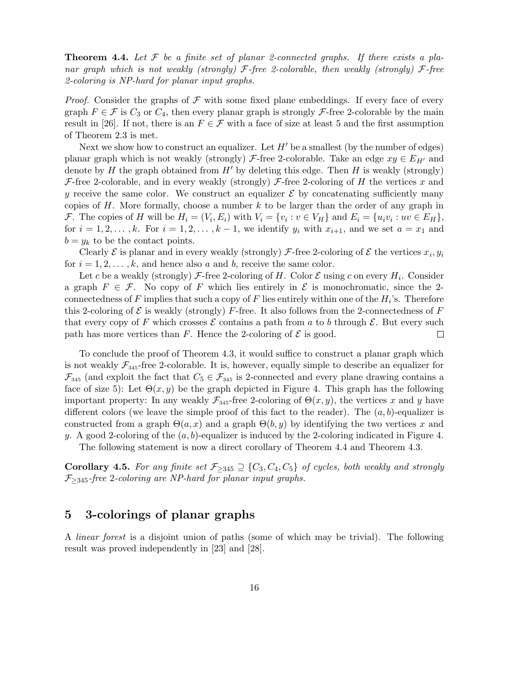**Theorem 4.4.** Let  $\mathcal F$  be a finite set of planar 2-connected graphs. If there exists a planar graph which is not weakly (strongly)  $\mathcal{F}\text{-}$  free 2-colorable, then weakly (strongly)  $\mathcal{F}\text{-}$  free 2-coloring is NP-hard for planar input graphs.

*Proof.* Consider the graphs of  $\mathcal F$  with some fixed plane embeddings. If every face of every graph  $F \in \mathcal{F}$  is  $C_3$  or  $C_4$ , then every planar graph is strongly  $\mathcal{F}$ -free 2-colorable by the main result in [26]. If not, there is an  $F \in \mathcal{F}$  with a face of size at least 5 and the first assumption of Theorem 2.3 is met.

Next we show how to construct an equalizer. Let  $H'$  be a smallest (by the number of edges) planar graph which is not weakly (strongly)  $\mathcal{F}$ -free 2-colorable. Take an edge  $xy \in E_{H'}$  and denote by  $H$  the graph obtained from  $H'$  by deleting this edge. Then  $H$  is weakly (strongly) F-free 2-colorable, and in every weakly (strongly) F-free 2-coloring of H the vertices x and y receive the same color. We construct an equalizer  $\mathcal E$  by concatenating sufficiently many copies of  $H$ . More formally, choose a number  $k$  to be larger than the order of any graph in *F*. The copies of *H* will be  $H_i = (V_i, E_i)$  with  $V_i = \{v_i : v \in V_H\}$  and  $E_i = \{u_i v_i : uv \in E_H\}$ , for  $i = 1, 2, \ldots, k$ . For  $i = 1, 2, \ldots, k - 1$ , we identify  $y_i$  with  $x_{i+1}$ , and we set  $a = x_1$  and  $b = y_k$  to be the contact points.

Clearly  $\mathcal E$  is planar and in every weakly (strongly)  $\mathcal F$ -free 2-coloring of  $\mathcal E$  the vertices  $x_i, y_i$ for  $i = 1, 2, \ldots, k$ , and hence also a and b, receive the same color.

Let c be a weakly (strongly) F-free 2-coloring of H. Color  $\mathcal E$  using c on every  $H_i$ . Consider a graph  $F \in \mathcal{F}$ . No copy of F which lies entirely in  $\mathcal{E}$  is monochromatic, since the 2connectedness of F implies that such a copy of F lies entirely within one of the  $H_i$ 's. Therefore this 2-coloring of  $\mathcal E$  is weakly (strongly) F-free. It also follows from the 2-connectedness of F that every copy of F which crosses  $\mathcal E$  contains a path from a to b through  $\mathcal E$ . But every such path has more vertices than F. Hence the 2-coloring of  $\mathcal E$  is good.  $\Box$ 

To conclude the proof of Theorem 4.3, it would suffice to construct a planar graph which is not weakly  $\mathcal{F}_{345}$ -free 2-colorable. It is, however, equally simple to describe an equalizer for  $\mathcal{F}_{345}$  (and exploit the fact that  $C_5 \in \mathcal{F}_{345}$  is 2-connected and every plane drawing contains a face of size 5): Let  $\Theta(x, y)$  be the graph depicted in Figure 4. This graph has the following important property: In any weakly  $\mathcal{F}_{345}$ -free 2-coloring of  $\Theta(x, y)$ , the vertices x and y have different colors (we leave the simple proof of this fact to the reader). The  $(a, b)$ -equalizer is constructed from a graph  $\Theta(a, x)$  and a graph  $\Theta(b, y)$  by identifying the two vertices x and y. A good 2-coloring of the  $(a, b)$ -equalizer is induced by the 2-coloring indicated in Figure 4.

The following statement is now a direct corollary of Theorem 4.4 and Theorem 4.3.

**Corollary 4.5.** For any finite set  $\mathcal{F}_{>345} \supseteq \{C_3, C_4, C_5\}$  of cycles, both weakly and strongly  $\mathcal{F}_{>345}$ -free 2-coloring are NP-hard for planar input graphs.

## 5 3-colorings of planar graphs

A linear forest is a disjoint union of paths (some of which may be trivial). The following result was proved independently in [23] and [28].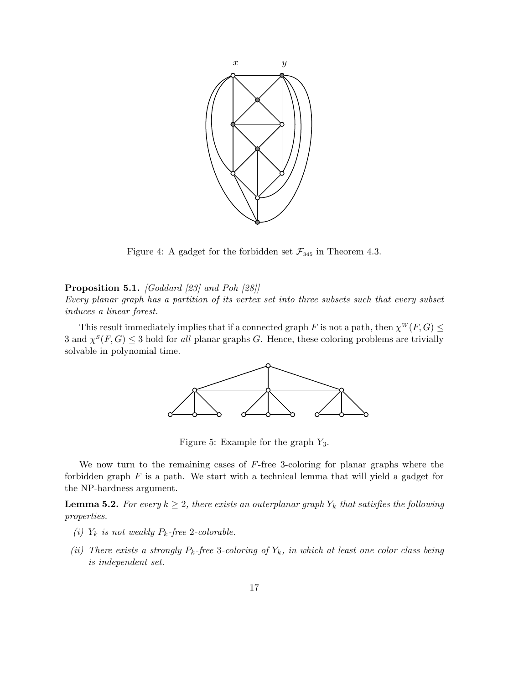

Figure 4: A gadget for the forbidden set  $\mathcal{F}_{345}$  in Theorem 4.3.

#### Proposition 5.1. [Goddard [23] and Poh [28]]

Every planar graph has a partition of its vertex set into three subsets such that every subset induces a linear forest.

This result immediately implies that if a connected graph F is not a path, then  $\chi^W(F, G) \leq$ 3 and  $\chi^S(F, G) \leq 3$  hold for all planar graphs G. Hence, these coloring problems are trivially solvable in polynomial time.



Figure 5: Example for the graph  $Y_3$ .

We now turn to the remaining cases of  $F$ -free 3-coloring for planar graphs where the forbidden graph  $F$  is a path. We start with a technical lemma that will yield a gadget for the NP-hardness argument.

**Lemma 5.2.** For every  $k \geq 2$ , there exists an outerplanar graph  $Y_k$  that satisfies the following properties.

- (i)  $Y_k$  is not weakly  $P_k$ -free 2-colorable.
- (ii) There exists a strongly  $P_k$ -free 3-coloring of  $Y_k$ , in which at least one color class being is independent set.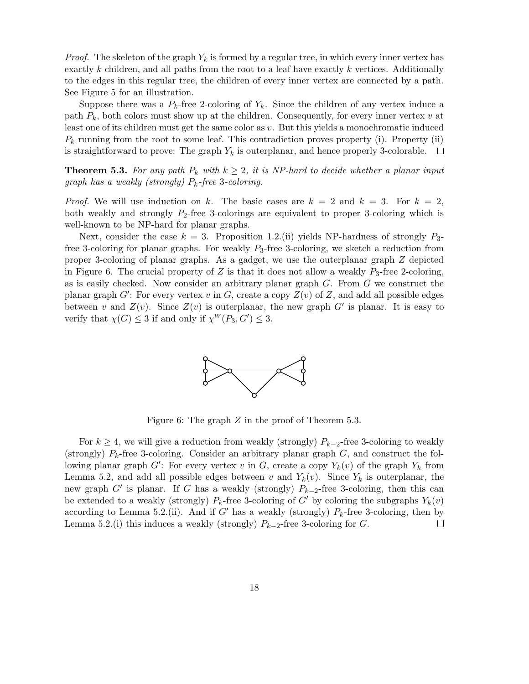*Proof.* The skeleton of the graph  $Y_k$  is formed by a regular tree, in which every inner vertex has exactly  $k$  children, and all paths from the root to a leaf have exactly  $k$  vertices. Additionally to the edges in this regular tree, the children of every inner vertex are connected by a path. See Figure 5 for an illustration.

Suppose there was a  $P_k$ -free 2-coloring of  $Y_k$ . Since the children of any vertex induce a path  $P_k$ , both colors must show up at the children. Consequently, for every inner vertex v at least one of its children must get the same color as  $v$ . But this yields a monochromatic induced  $P_k$  running from the root to some leaf. This contradiction proves property (i). Property (ii) is straightforward to prove: The graph  $Y_k$  is outerplanar, and hence properly 3-colorable.  $\Box$ 

**Theorem 5.3.** For any path  $P_k$  with  $k \geq 2$ , it is NP-hard to decide whether a planar input graph has a weakly (strongly)  $P_k$ -free 3-coloring.

*Proof.* We will use induction on k. The basic cases are  $k = 2$  and  $k = 3$ . For  $k = 2$ , both weakly and strongly  $P_2$ -free 3-colorings are equivalent to proper 3-coloring which is well-known to be NP-hard for planar graphs.

Next, consider the case  $k = 3$ . Proposition 1.2.(ii) yields NP-hardness of strongly  $P_{3}$ free 3-coloring for planar graphs. For weakly  $P_3$ -free 3-coloring, we sketch a reduction from proper 3-coloring of planar graphs. As a gadget, we use the outerplanar graph Z depicted in Figure 6. The crucial property of Z is that it does not allow a weakly  $P_3$ -free 2-coloring, as is easily checked. Now consider an arbitrary planar graph  $G$ . From  $G$  we construct the planar graph  $G'$ : For every vertex v in G, create a copy  $Z(v)$  of Z, and add all possible edges between v and  $Z(v)$ . Since  $Z(v)$  is outerplanar, the new graph  $G'$  is planar. It is easy to verify that  $\chi(G) \leq 3$  if and only if  $\chi^W(P_3, G') \leq 3$ .



Figure 6: The graph Z in the proof of Theorem 5.3.

For  $k \geq 4$ , we will give a reduction from weakly (strongly)  $P_{k-2}$ -free 3-coloring to weakly (strongly)  $P_k$ -free 3-coloring. Consider an arbitrary planar graph  $G$ , and construct the following planar graph  $G'$ : For every vertex v in G, create a copy  $Y_k(v)$  of the graph  $Y_k$  from Lemma 5.2, and add all possible edges between v and  $Y_k(v)$ . Since  $Y_k$  is outerplanar, the new graph  $G'$  is planar. If G has a weakly (strongly)  $P_{k-2}$ -free 3-coloring, then this can be extended to a weakly (strongly)  $P_k$ -free 3-coloring of G' by coloring the subgraphs  $Y_k(v)$ according to Lemma 5.2.(ii). And if G' has a weakly (strongly)  $P_k$ -free 3-coloring, then by Lemma 5.2.(i) this induces a weakly (strongly)  $P_{k-2}$ -free 3-coloring for G. □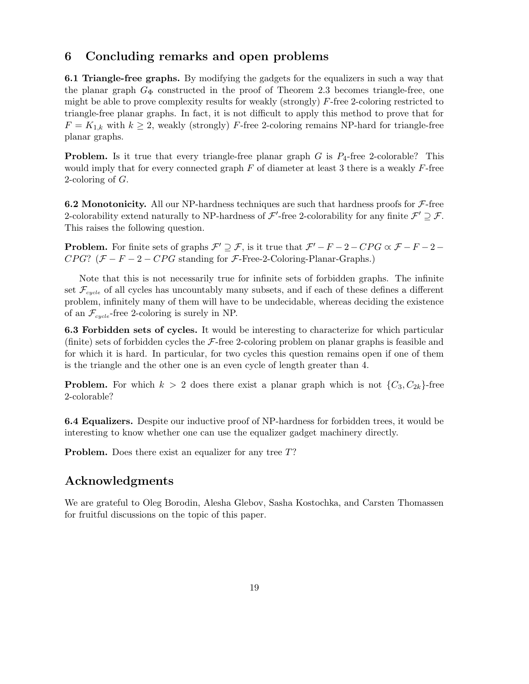## 6 Concluding remarks and open problems

6.1 Triangle-free graphs. By modifying the gadgets for the equalizers in such a way that the planar graph  $G_{\Phi}$  constructed in the proof of Theorem 2.3 becomes triangle-free, one might be able to prove complexity results for weakly (strongly) F-free 2-coloring restricted to triangle-free planar graphs. In fact, it is not difficult to apply this method to prove that for  $F = K_{1,k}$  with  $k \geq 2$ , weakly (strongly) F-free 2-coloring remains NP-hard for triangle-free planar graphs.

**Problem.** Is it true that every triangle-free planar graph  $G$  is  $P_4$ -free 2-colorable? This would imply that for every connected graph  $F$  of diameter at least 3 there is a weakly  $F$ -free 2-coloring of G.

6.2 Monotonicity. All our NP-hardness techniques are such that hardness proofs for  $\mathcal{F}\text{-free}$ 2-colorability extend naturally to NP-hardness of  $\mathcal{F}'$ -free 2-colorability for any finite  $\mathcal{F}' \supseteq \mathcal{F}$ . This raises the following question.

**Problem.** For finite sets of graphs  $\mathcal{F}' \supseteq \mathcal{F}$ , is it true that  $\mathcal{F}' - F - 2 - CPG \propto \mathcal{F} - F - 2 - CPG$  $CPG$ ? ( $\mathcal{F} - F - 2 - CPG$  standing for  $\mathcal{F}$ -Free-2-Coloring-Planar-Graphs.)

Note that this is not necessarily true for infinite sets of forbidden graphs. The infinite set  $\mathcal{F}_{cycle}$  of all cycles has uncountably many subsets, and if each of these defines a different problem, infinitely many of them will have to be undecidable, whereas deciding the existence of an  $\mathcal{F}_{cycle}$ -free 2-coloring is surely in NP.

6.3 Forbidden sets of cycles. It would be interesting to characterize for which particular (finite) sets of forbidden cycles the  $\mathcal{F}\text{-}$  free 2-coloring problem on planar graphs is feasible and for which it is hard. In particular, for two cycles this question remains open if one of them is the triangle and the other one is an even cycle of length greater than 4.

**Problem.** For which  $k > 2$  does there exist a planar graph which is not  $\{C_3, C_{2k}\}$ -free 2-colorable?

6.4 Equalizers. Despite our inductive proof of NP-hardness for forbidden trees, it would be interesting to know whether one can use the equalizer gadget machinery directly.

Problem. Does there exist an equalizer for any tree T?

## Acknowledgments

We are grateful to Oleg Borodin, Alesha Glebov, Sasha Kostochka, and Carsten Thomassen for fruitful discussions on the topic of this paper.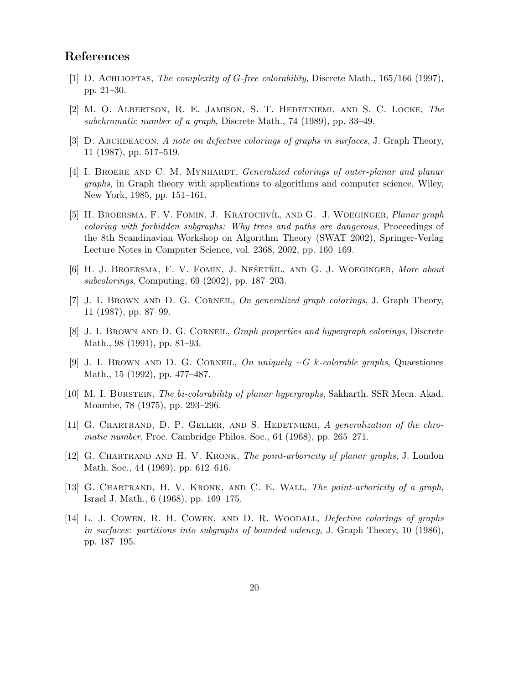## References

- [1] D. ACHLIOPTAS, The complexity of G-free colorability, Discrete Math., 165/166 (1997), pp. 21–30.
- [2] M. O. Albertson, R. E. Jamison, S. T. Hedetniemi, and S. C. Locke, The subchromatic number of a graph, Discrete Math., 74 (1989), pp. 33–49.
- [3] D. ARCHDEACON, A note on defective colorings of graphs in surfaces, J. Graph Theory, 11 (1987), pp. 517–519.
- [4] I. BROERE AND C. M. MYNHARDT, *Generalized colorings of outer-planar and planar* graphs, in Graph theory with applications to algorithms and computer science, Wiley, New York, 1985, pp. 151–161.
- [5] H. BROERSMA, F. V. FOMIN, J. KRATOCHVÍL, AND G. J. WOEGINGER, *Planar graph* coloring with forbidden subgraphs: Why trees and paths are dangerous, Proceedings of the 8th Scandinavian Workshop on Algorithm Theory (SWAT 2002), Springer-Verlag Lecture Notes in Computer Science, vol. 2368, 2002, pp. 160–169.
- [6] H. J. BROERSMA, F. V. FOMIN, J. NEŠETŘIL, AND G. J. WOEGINGER, More about subcolorings, Computing, 69 (2002), pp. 187–203.
- [7] J. I. BROWN AND D. G. CORNEIL, On generalized graph colorings, J. Graph Theory, 11 (1987), pp. 87–99.
- [8] J. I. BROWN AND D. G. CORNEIL, *Graph properties and hypergraph colorings*, Discrete Math., 98 (1991), pp. 81–93.
- [9] J. I. BROWN AND D. G. CORNEIL, On uniquely  $-G$  k-colorable graphs, Quaestiones Math., 15 (1992), pp. 477–487.
- [10] M. I. Burstein, The bi-colorability of planar hypergraphs, Sakharth. SSR Mecn. Akad. Moambe, 78 (1975), pp. 293–296.
- [11] G. Chartrand, D. P. Geller, and S. Hedetniemi, A generalization of the chromatic number, Proc. Cambridge Philos. Soc., 64 (1968), pp. 265–271.
- [12] G. CHARTRAND AND H. V. KRONK, The point-arboricity of planar graphs, J. London Math. Soc., 44 (1969), pp. 612–616.
- [13] G. CHARTRAND, H. V. KRONK, AND C. E. WALL, *The point-arboricity of a graph*, Israel J. Math., 6 (1968), pp. 169–175.
- [14] L. J. Cowen, R. H. Cowen, and D. R. Woodall, Defective colorings of graphs in surfaces: partitions into subgraphs of bounded valency, J. Graph Theory, 10 (1986), pp. 187–195.